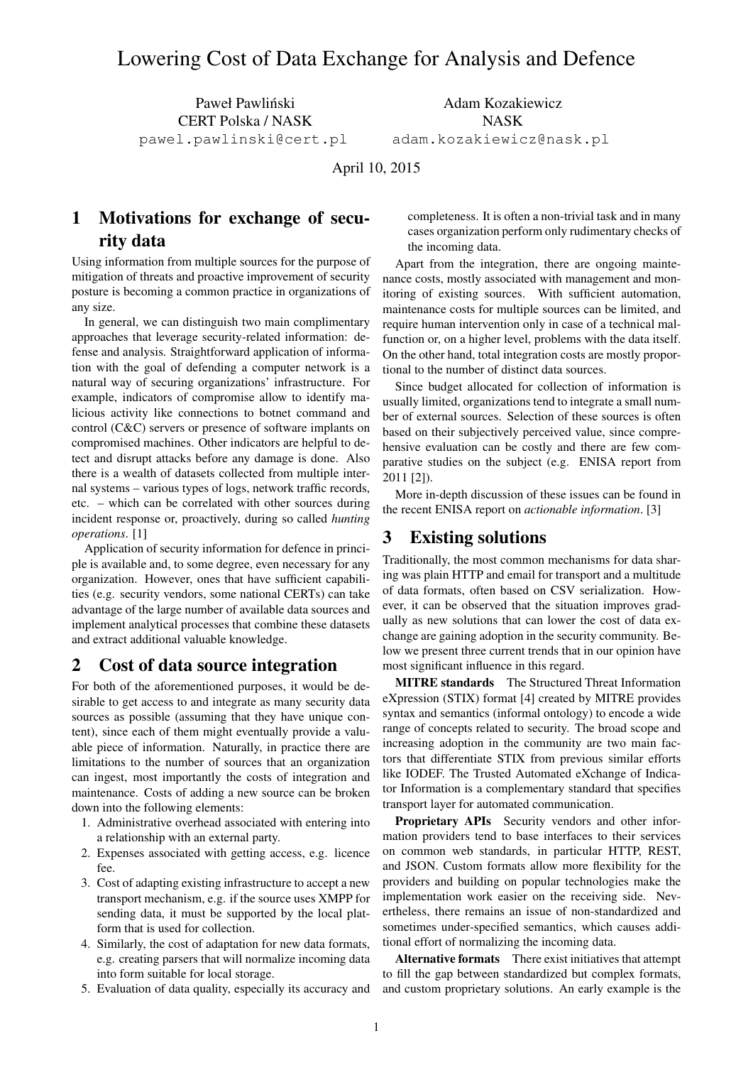Paweł Pawliński CERT Polska / NASK [pawel.pawlinski@cert.pl](mailto:pawel.pawlinski@cert.pl)

Adam Kozakiewicz NASK [adam.kozakiewicz@nask.pl](mailto:adam.kozakiewicz@nask.pl)

April 10, 2015

# 1 Motivations for exchange of security data

Using information from multiple sources for the purpose of mitigation of threats and proactive improvement of security posture is becoming a common practice in organizations of any size.

In general, we can distinguish two main complimentary approaches that leverage security-related information: defense and analysis. Straightforward application of information with the goal of defending a computer network is a natural way of securing organizations' infrastructure. For example, indicators of compromise allow to identify malicious activity like connections to botnet command and control (C&C) servers or presence of software implants on compromised machines. Other indicators are helpful to detect and disrupt attacks before any damage is done. Also there is a wealth of datasets collected from multiple internal systems – various types of logs, network traffic records, etc. – which can be correlated with other sources during incident response or, proactively, during so called *hunting operations*. [\[1\]](#page-1-0)

Application of security information for defence in principle is available and, to some degree, even necessary for any organization. However, ones that have sufficient capabilities (e.g. security vendors, some national CERTs) can take advantage of the large number of available data sources and implement analytical processes that combine these datasets and extract additional valuable knowledge.

## 2 Cost of data source integration

For both of the aforementioned purposes, it would be desirable to get access to and integrate as many security data sources as possible (assuming that they have unique content), since each of them might eventually provide a valuable piece of information. Naturally, in practice there are limitations to the number of sources that an organization can ingest, most importantly the costs of integration and maintenance. Costs of adding a new source can be broken down into the following elements:

- 1. Administrative overhead associated with entering into a relationship with an external party.
- 2. Expenses associated with getting access, e.g. licence fee.
- 3. Cost of adapting existing infrastructure to accept a new transport mechanism, e.g. if the source uses XMPP for sending data, it must be supported by the local platform that is used for collection.
- 4. Similarly, the cost of adaptation for new data formats, e.g. creating parsers that will normalize incoming data into form suitable for local storage.
- 5. Evaluation of data quality, especially its accuracy and

completeness. It is often a non-trivial task and in many cases organization perform only rudimentary checks of the incoming data.

Apart from the integration, there are ongoing maintenance costs, mostly associated with management and monitoring of existing sources. With sufficient automation, maintenance costs for multiple sources can be limited, and require human intervention only in case of a technical malfunction or, on a higher level, problems with the data itself. On the other hand, total integration costs are mostly proportional to the number of distinct data sources.

Since budget allocated for collection of information is usually limited, organizations tend to integrate a small number of external sources. Selection of these sources is often based on their subjectively perceived value, since comprehensive evaluation can be costly and there are few comparative studies on the subject (e.g. ENISA report from 2011 [\[2\]](#page-1-1)).

More in-depth discussion of these issues can be found in the recent ENISA report on *actionable information*. [\[3\]](#page-1-2)

## 3 Existing solutions

Traditionally, the most common mechanisms for data sharing was plain HTTP and email for transport and a multitude of data formats, often based on CSV serialization. However, it can be observed that the situation improves gradually as new solutions that can lower the cost of data exchange are gaining adoption in the security community. Below we present three current trends that in our opinion have most significant influence in this regard.

MITRE standards The Structured Threat Information eXpression (STIX) format [\[4\]](#page-1-3) created by MITRE provides syntax and semantics (informal ontology) to encode a wide range of concepts related to security. The broad scope and increasing adoption in the community are two main factors that differentiate STIX from previous similar efforts like IODEF. The Trusted Automated eXchange of Indicator Information is a complementary standard that specifies transport layer for automated communication.

Proprietary APIs Security vendors and other information providers tend to base interfaces to their services on common web standards, in particular HTTP, REST, and JSON. Custom formats allow more flexibility for the providers and building on popular technologies make the implementation work easier on the receiving side. Nevertheless, there remains an issue of non-standardized and sometimes under-specified semantics, which causes additional effort of normalizing the incoming data.

Alternative formats There exist initiatives that attempt to fill the gap between standardized but complex formats, and custom proprietary solutions. An early example is the